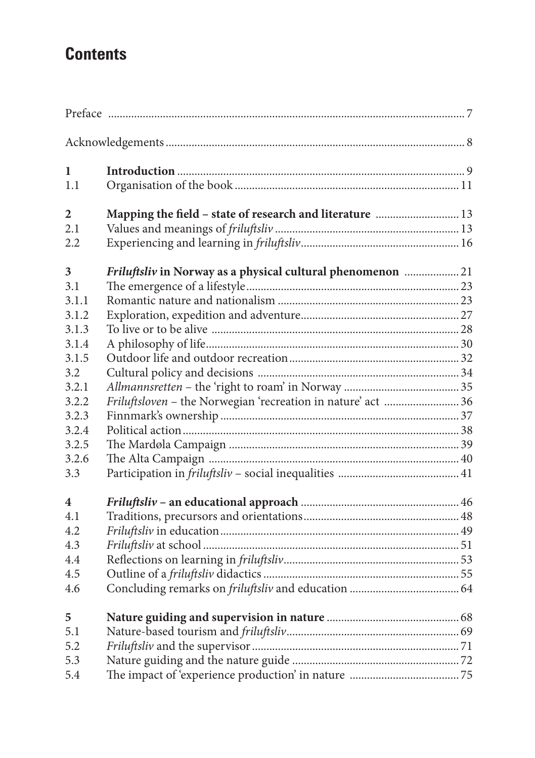## **Contents**

| 1     |                                                              |  |
|-------|--------------------------------------------------------------|--|
| 1.1   |                                                              |  |
| 2     | Mapping the field - state of research and literature  13     |  |
| 2.1   |                                                              |  |
| 2.2   |                                                              |  |
| 3     | Friluftsliv in Norway as a physical cultural phenomenon  21  |  |
| 3.1   |                                                              |  |
| 3.1.1 |                                                              |  |
| 3.1.2 |                                                              |  |
| 3.1.3 |                                                              |  |
| 3.1.4 |                                                              |  |
| 3.1.5 |                                                              |  |
| 3.2   |                                                              |  |
| 3.2.1 |                                                              |  |
| 3.2.2 | Friluftsloven - the Norwegian 'recreation in nature' act  36 |  |
| 3.2.3 |                                                              |  |
| 3.2.4 |                                                              |  |
| 3.2.5 |                                                              |  |
| 3.2.6 |                                                              |  |
| 3.3   |                                                              |  |
| 4     |                                                              |  |
| 4.1   |                                                              |  |
| 4.2   |                                                              |  |
| 4.3   |                                                              |  |
| 4.4   |                                                              |  |
| 4.5   |                                                              |  |
| 4.6   |                                                              |  |
| 5     |                                                              |  |
| 5.1   |                                                              |  |
| 5.2   |                                                              |  |
| 5.3   |                                                              |  |
| 5.4   |                                                              |  |